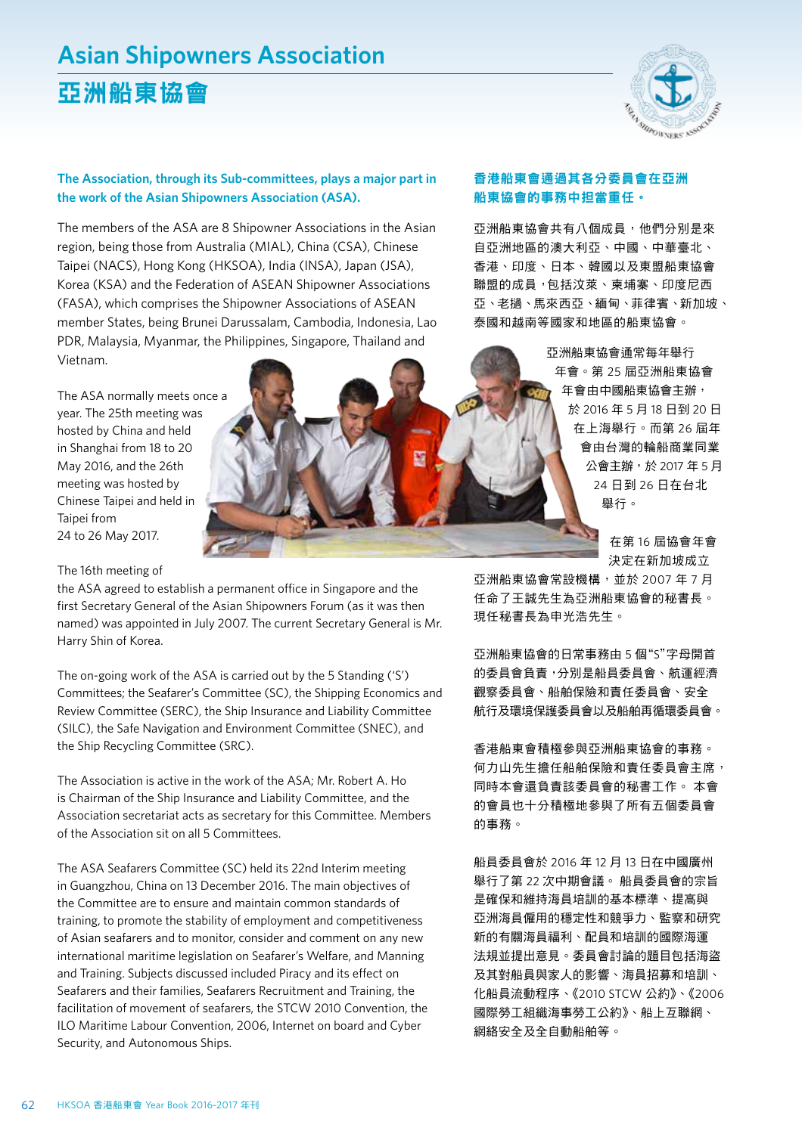# **Asian Shipowners Association**

## 亞洲船東協會



#### **The Association, through its Sub-committees, plays a major part in the work of the Asian Shipowners Association (ASA).**

The members of the ASA are 8 Shipowner Associations in the Asian region, being those from Australia (MIAL), China (CSA), Chinese Taipei (NACS), Hong Kong (HKSOA), India (INSA), Japan (JSA), Korea (KSA) and the Federation of ASEAN Shipowner Associations (FASA), which comprises the Shipowner Associations of ASEAN member States, being Brunei Darussalam, Cambodia, Indonesia, Lao PDR, Malaysia, Myanmar, the Philippines, Singapore, Thailand and Vietnam.

The ASA normally meets once a year. The 25th meeting was hosted by China and held in Shanghai from 18 to 20 May 2016, and the 26th meeting was hosted by Chinese Taipei and held in Taipei from 24 to 26 May 2017.

The 16th meeting of

the ASA agreed to establish a permanent office in Singapore and the first Secretary General of the Asian Shipowners Forum (as it was then named) was appointed in July 2007. The current Secretary General is Mr. Harry Shin of Korea.

The on-going work of the ASA is carried out by the 5 Standing ('S') Committees; the Seafarer's Committee (SC), the Shipping Economics and Review Committee (SERC), the Ship Insurance and Liability Committee (SILC), the Safe Navigation and Environment Committee (SNEC), and the Ship Recycling Committee (SRC).

The Association is active in the work of the ASA; Mr. Robert A. Ho is Chairman of the Ship Insurance and Liability Committee, and the Association secretariat acts as secretary for this Committee. Members of the Association sit on all 5 Committees.

The ASA Seafarers Committee (SC) held its 22nd Interim meeting in Guangzhou, China on 13 December 2016. The main objectives of the Committee are to ensure and maintain common standards of training, to promote the stability of employment and competitiveness of Asian seafarers and to monitor, consider and comment on any new international maritime legislation on Seafarer's Welfare, and Manning and Training. Subjects discussed included Piracy and its effect on Seafarers and their families, Seafarers Recruitment and Training, the facilitation of movement of seafarers, the STCW 2010 Convention, the ILO Maritime Labour Convention, 2006, Internet on board and Cyber Security, and Autonomous Ships.

#### 香港船東會通過其各分委員會在亞洲 船東協會的事務中担當重任。

亞洲船東協會共有八個成員,他們分別是來 自亞洲地區的澳大利亞、中國、中華臺北、 香港、印度、日本、韓國以及東盟船東協會 聯盟的成員,包括汶萊、柬埔寨、印度尼西 亞、老撾、馬來西亞、緬甸、菲律賓、新加坡、 泰國和越南等國家和地區的船東協會。

> 亞洲船東協會通常每年舉行 年會。第 25 屆亞洲船東協會 年會由中國船東協會主辦, 於 2016 年 5 月 18 日到 20 日 在上海舉行。而第 26 屆年 會由台灣的輪船商業同業 公會主辦,於 2017 年 5 月 24 日到 26 日在台北 舉行。

> > 在第 16 屆協會年會 決定在新加坡成立

亞洲船東協會常設機構,並於 2007年7月 任命了王誠先生為亞洲船東協會的秘書長。 現任秘書長為申光浩先生。

亞洲船東協會的日常事務由 5 個"S"字母開首 的委員會負責,分別是船員委員會、航運經濟 觀察委員會、船舶保險和責任委員會、安全 航行及環境保護委員會以及船舶再循環委員會。

香港船東會積極參與亞洲船東協會的事務。 何力山先生擔任船舶保險和責任委員會主席, 同時本會還負責該委員會的秘書工作。 本會 的會員也十分積極地參與了所有五個委員會 的事務。

船員委員會於 2016 年 12 月 13 日在中國廣州 舉行了第 22 次中期會議。 船員委員會的宗旨 是確保和維持海員培訓的基本標準、提高與 亞洲海員僱用的穩定性和競爭力、監察和研究 新的有關海員福利、配員和培訓的國際海運 法規並提出意見。委員會討論的題目包括海盜 及其對船員與家人的影響、海員招募和培訓、 化船員流動程序、《2010 STCW 公約》、《2006 國際勞工組織海事勞工公約》、船上互聯網、 網絡安全及全自動船舶等。